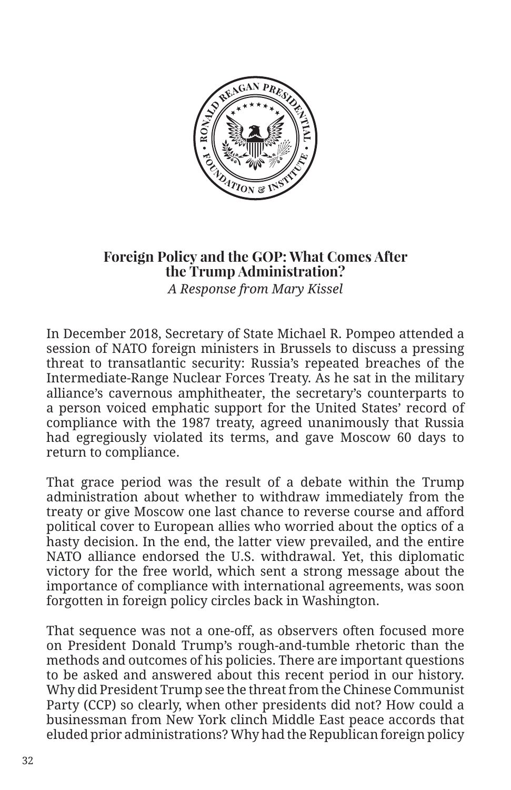

## **Foreign Policy and the GOP: What Comes After the Trump Administration?**  *A Response from Mary Kissel*

In December 2018, Secretary of State Michael R. Pompeo attended a session of NATO foreign ministers in Brussels to discuss a pressing threat to transatlantic security: Russia's repeated breaches of the Intermediate-Range Nuclear Forces Treaty. As he sat in the military alliance's cavernous amphitheater, the secretary's counterparts to a person voiced emphatic support for the United States' record of compliance with the 1987 treaty, agreed unanimously that Russia had egregiously violated its terms, and gave Moscow 60 days to return to compliance.

That grace period was the result of a debate within the Trump administration about whether to withdraw immediately from the treaty or give Moscow one last chance to reverse course and afford political cover to European allies who worried about the optics of a hasty decision. In the end, the latter view prevailed, and the entire NATO alliance endorsed the U.S. withdrawal. Yet, this diplomatic victory for the free world, which sent a strong message about the importance of compliance with international agreements, was soon forgotten in foreign policy circles back in Washington.

That sequence was not a one-off, as observers often focused more on President Donald Trump's rough-and-tumble rhetoric than the methods and outcomes of his policies. There are important questions to be asked and answered about this recent period in our history. Why did President Trump see the threat from the Chinese Communist Party (CCP) so clearly, when other presidents did not? How could a businessman from New York clinch Middle East peace accords that eluded prior administrations? Why had the Republican foreign policy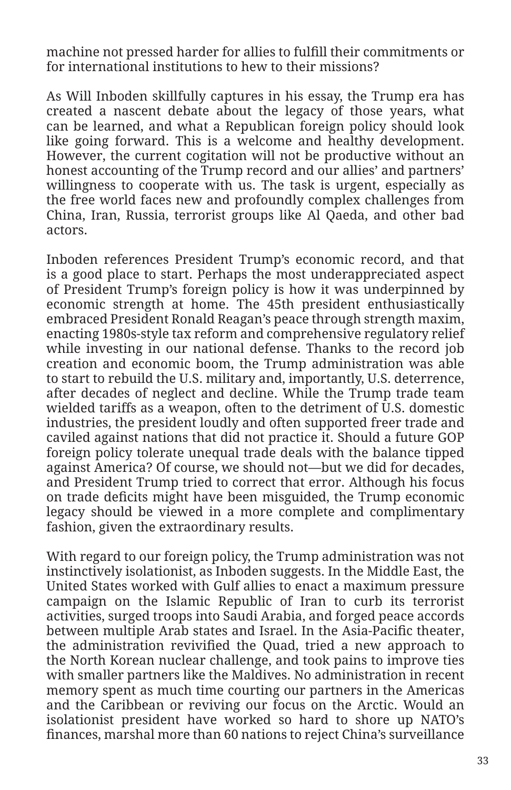machine not pressed harder for allies to fulfill their commitments or for international institutions to hew to their missions?

As Will Inboden skillfully captures in his essay, the Trump era has created a nascent debate about the legacy of those years, what can be learned, and what a Republican foreign policy should look like going forward. This is a welcome and healthy development. However, the current cogitation will not be productive without an honest accounting of the Trump record and our allies' and partners' willingness to cooperate with us. The task is urgent, especially as the free world faces new and profoundly complex challenges from China, Iran, Russia, terrorist groups like Al Qaeda, and other bad actors.

Inboden references President Trump's economic record, and that is a good place to start. Perhaps the most underappreciated aspect of President Trump's foreign policy is how it was underpinned by economic strength at home. The 45th president enthusiastically embraced President Ronald Reagan's peace through strength maxim, enacting 1980s-style tax reform and comprehensive regulatory relief while investing in our national defense. Thanks to the record job creation and economic boom, the Trump administration was able to start to rebuild the U.S. military and, importantly, U.S. deterrence, after decades of neglect and decline. While the Trump trade team wielded tariffs as a weapon, often to the detriment of  $\overline{U}$ .S. domestic industries, the president loudly and often supported freer trade and caviled against nations that did not practice it. Should a future GOP foreign policy tolerate unequal trade deals with the balance tipped against America? Of course, we should not—but we did for decades, and President Trump tried to correct that error. Although his focus on trade deficits might have been misguided, the Trump economic legacy should be viewed in a more complete and complimentary fashion, given the extraordinary results.

With regard to our foreign policy, the Trump administration was not instinctively isolationist, as Inboden suggests. In the Middle East, the United States worked with Gulf allies to enact a maximum pressure campaign on the Islamic Republic of Iran to curb its terrorist activities, surged troops into Saudi Arabia, and forged peace accords between multiple Arab states and Israel. In the Asia-Pacific theater, the administration revivified the Quad, tried a new approach to the North Korean nuclear challenge, and took pains to improve ties with smaller partners like the Maldives. No administration in recent memory spent as much time courting our partners in the Americas and the Caribbean or reviving our focus on the Arctic. Would an isolationist president have worked so hard to shore up NATO's finances, marshal more than 60 nations to reject China's surveillance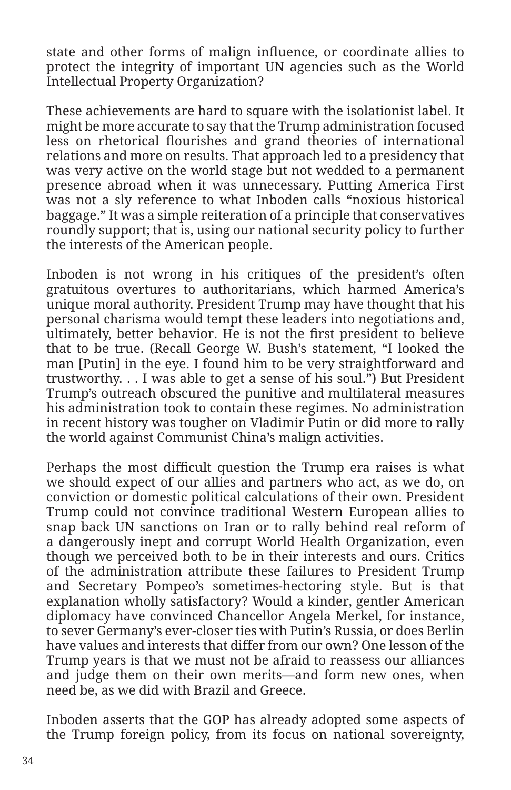state and other forms of malign influence, or coordinate allies to protect the integrity of important UN agencies such as the World Intellectual Property Organization?

These achievements are hard to square with the isolationist label. It might be more accurate to say that the Trump administration focused less on rhetorical flourishes and grand theories of international relations and more on results. That approach led to a presidency that was very active on the world stage but not wedded to a permanent presence abroad when it was unnecessary. Putting America First was not a sly reference to what Inboden calls "noxious historical baggage." It was a simple reiteration of a principle that conservatives roundly support; that is, using our national security policy to further the interests of the American people.

Inboden is not wrong in his critiques of the president's often gratuitous overtures to authoritarians, which harmed America's unique moral authority. President Trump may have thought that his personal charisma would tempt these leaders into negotiations and, ultimately, better behavior. He is not the first president to believe that to be true. (Recall George W. Bush's statement, "I looked the man [Putin] in the eye. I found him to be very straightforward and trustworthy. . . I was able to get a sense of his soul.") But President Trump's outreach obscured the punitive and multilateral measures his administration took to contain these regimes. No administration in recent history was tougher on Vladimir Putin or did more to rally the world against Communist China's malign activities.

Perhaps the most difficult question the Trump era raises is what we should expect of our allies and partners who act, as we do, on conviction or domestic political calculations of their own. President Trump could not convince traditional Western European allies to snap back UN sanctions on Iran or to rally behind real reform of a dangerously inept and corrupt World Health Organization, even though we perceived both to be in their interests and ours. Critics of the administration attribute these failures to President Trump and Secretary Pompeo's sometimes-hectoring style. But is that explanation wholly satisfactory? Would a kinder, gentler American diplomacy have convinced Chancellor Angela Merkel, for instance, to sever Germany's ever-closer ties with Putin's Russia, or does Berlin have values and interests that differ from our own? One lesson of the Trump years is that we must not be afraid to reassess our alliances and judge them on their own merits—and form new ones, when need be, as we did with Brazil and Greece.

Inboden asserts that the GOP has already adopted some aspects of the Trump foreign policy, from its focus on national sovereignty,